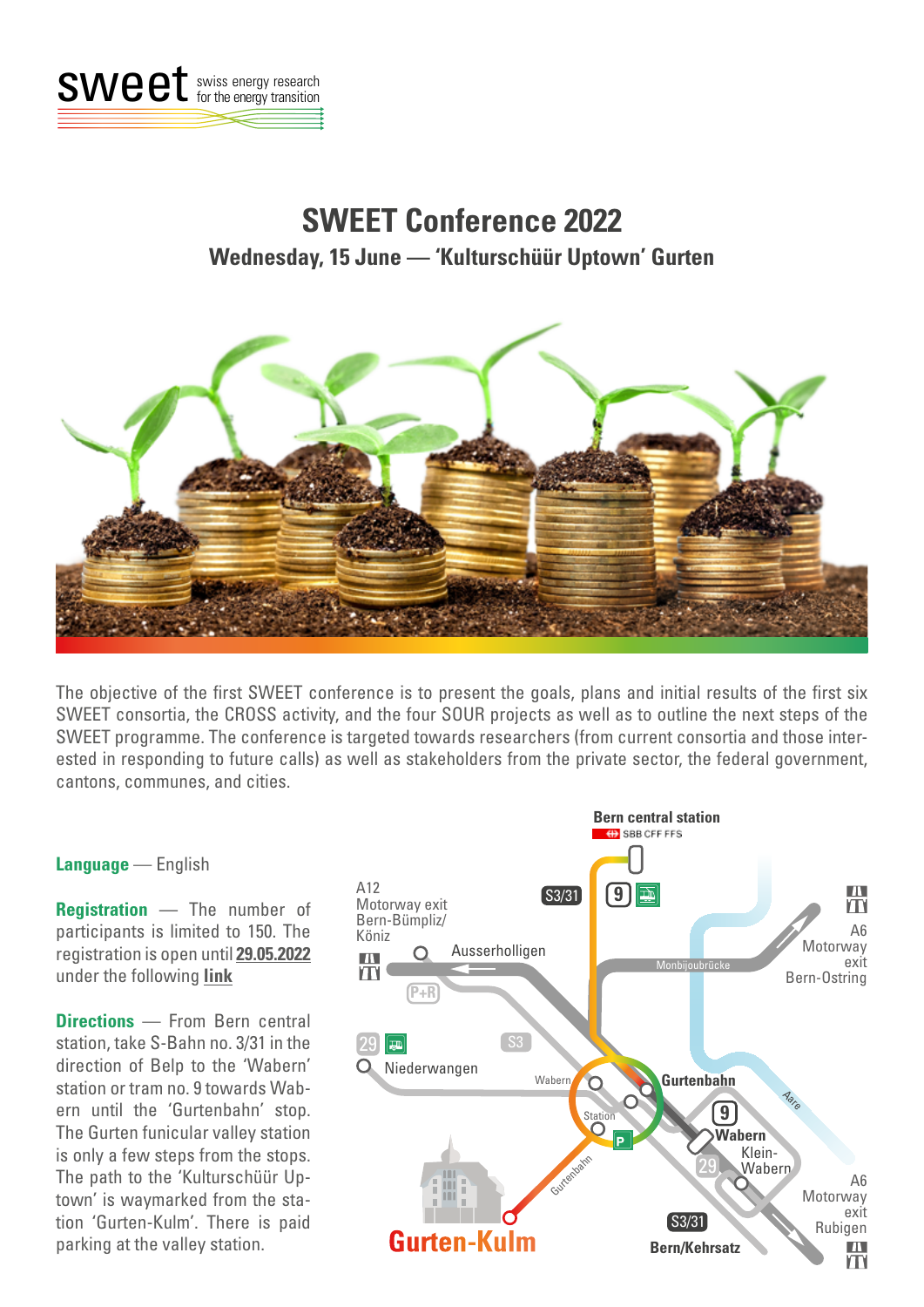

## **SWEET Conference 2022 Wednesday, 15 June — 'Kulturschüür Uptown' Gurten**



The objective of the first SWEET conference is to present the goals, plans and initial results of the first six SWEET consortia, the CROSS activity, and the four SOUR projects as well as to outline the next steps of the SWEET programme. The conference is targeted towards researchers (from current consortia and those interested in responding to future calls) as well as stakeholders from the private sector, the federal government, cantons, communes, and cities.

## **Language** — English

**Registration** — The number of participants is limited to 150. The registration is open until **29.05.2022**  under the following **[link](https://www.bfeevents.admin.ch/en/external-events/event-detail/198?no_cache=1)**

**Directions** — From Bern central station, take S-Bahn no. 3/31 in the direction of Belp to the 'Wabern' station or tram no. 9 towards Wabern until the 'Gurtenbahn' stop. The Gurten funicular valley station is only a few steps from the stops. The path to the 'Kulturschüür Uptown' is waymarked from the station 'Gurten-Kulm'. There is paid parking at the valley station.